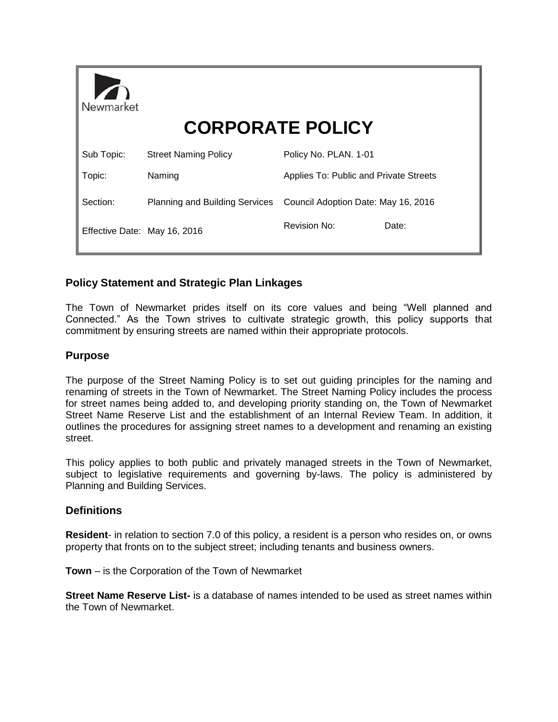| Newmarket                    | <b>CORPORATE POLICY</b>               |                                        |       |
|------------------------------|---------------------------------------|----------------------------------------|-------|
| Sub Topic:                   | <b>Street Naming Policy</b>           | Policy No. PLAN. 1-01                  |       |
| Topic:                       | Naming                                | Applies To: Public and Private Streets |       |
| Section:                     | <b>Planning and Building Services</b> | Council Adoption Date: May 16, 2016    |       |
| Effective Date: May 16, 2016 |                                       | <b>Revision No:</b>                    | Date: |

# **Policy Statement and Strategic Plan Linkages**

The Town of Newmarket prides itself on its core values and being "Well planned and Connected." As the Town strives to cultivate strategic growth, this policy supports that commitment by ensuring streets are named within their appropriate protocols.

## **Purpose**

The purpose of the Street Naming Policy is to set out guiding principles for the naming and renaming of streets in the Town of Newmarket. The Street Naming Policy includes the process for street names being added to, and developing priority standing on, the Town of Newmarket Street Name Reserve List and the establishment of an Internal Review Team. In addition, it outlines the procedures for assigning street names to a development and renaming an existing street.

This policy applies to both public and privately managed streets in the Town of Newmarket, subject to legislative requirements and governing by-laws. The policy is administered by Planning and Building Services.

## **Definitions**

**Resident**- in relation to section 7.0 of this policy, a resident is a person who resides on, or owns property that fronts on to the subject street; including tenants and business owners.

**Town** – is the Corporation of the Town of Newmarket

**Street Name Reserve List-** is a database of names intended to be used as street names within the Town of Newmarket.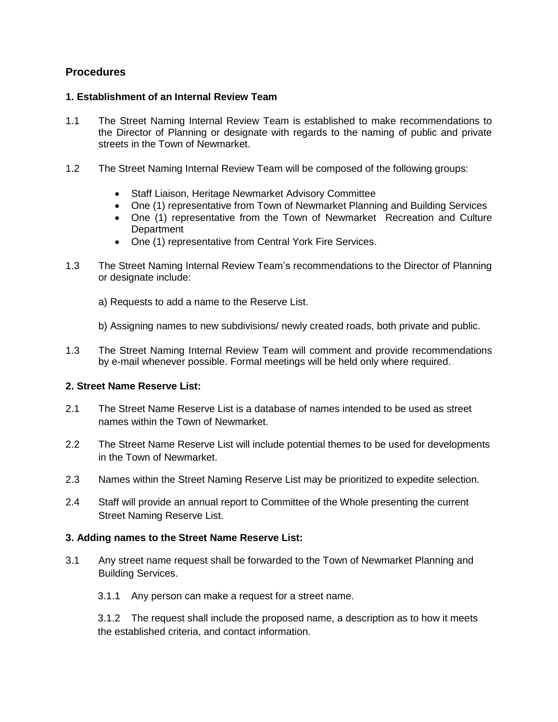## **Procedures**

#### **1. Establishment of an Internal Review Team**

- 1.1 The Street Naming Internal Review Team is established to make recommendations to the Director of Planning or designate with regards to the naming of public and private streets in the Town of Newmarket.
- 1.2 The Street Naming Internal Review Team will be composed of the following groups:
	- Staff Liaison, Heritage Newmarket Advisory Committee
	- One (1) representative from Town of Newmarket Planning and Building Services
	- One (1) representative from the Town of Newmarket Recreation and Culture **Department**
	- One (1) representative from Central York Fire Services.
- 1.3 The Street Naming Internal Review Team's recommendations to the Director of Planning or designate include:
	- a) Requests to add a name to the Reserve List.
	- b) Assigning names to new subdivisions/ newly created roads, both private and public.
- 1.3 The Street Naming Internal Review Team will comment and provide recommendations by e-mail whenever possible. Formal meetings will be held only where required.

## **2. Street Name Reserve List:**

- 2.1 The Street Name Reserve List is a database of names intended to be used as street names within the Town of Newmarket.
- 2.2 The Street Name Reserve List will include potential themes to be used for developments in the Town of Newmarket.
- 2.3 Names within the Street Naming Reserve List may be prioritized to expedite selection.
- 2.4 Staff will provide an annual report to Committee of the Whole presenting the current Street Naming Reserve List.

#### **3. Adding names to the Street Name Reserve List:**

- 3.1 Any street name request shall be forwarded to the Town of Newmarket Planning and Building Services.
	- 3.1.1 Any person can make a request for a street name.

3.1.2 The request shall include the proposed name, a description as to how it meets the established criteria, and contact information.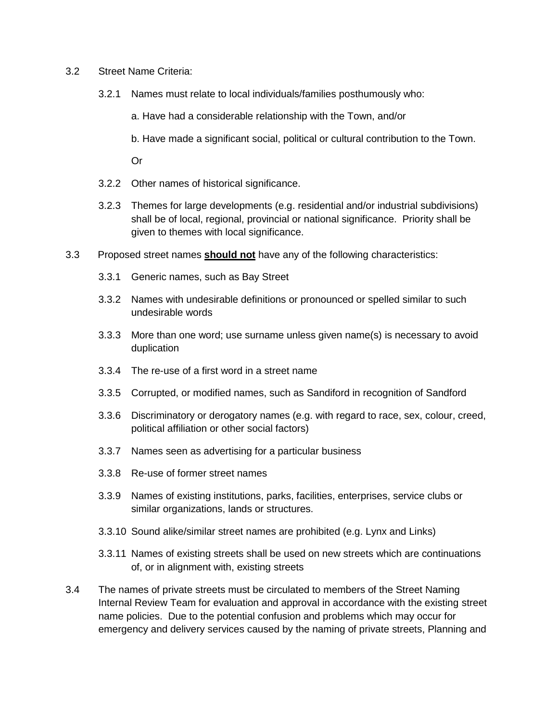- 3.2 Street Name Criteria:
	- 3.2.1 Names must relate to local individuals/families posthumously who:
		- a. Have had a considerable relationship with the Town, and/or
		- b. Have made a significant social, political or cultural contribution to the Town.

Or

- 3.2.2 Other names of historical significance.
- 3.2.3 Themes for large developments (e.g. residential and/or industrial subdivisions) shall be of local, regional, provincial or national significance. Priority shall be given to themes with local significance.
- 3.3 Proposed street names **should not** have any of the following characteristics:
	- 3.3.1 Generic names, such as Bay Street
	- 3.3.2 Names with undesirable definitions or pronounced or spelled similar to such undesirable words
	- 3.3.3 More than one word; use surname unless given name(s) is necessary to avoid duplication
	- 3.3.4 The re-use of a first word in a street name
	- 3.3.5 Corrupted, or modified names, such as Sandiford in recognition of Sandford
	- 3.3.6 Discriminatory or derogatory names (e.g. with regard to race, sex, colour, creed, political affiliation or other social factors)
	- 3.3.7 Names seen as advertising for a particular business
	- 3.3.8 Re-use of former street names
	- 3.3.9 Names of existing institutions, parks, facilities, enterprises, service clubs or similar organizations, lands or structures.
	- 3.3.10 Sound alike/similar street names are prohibited (e.g. Lynx and Links)
	- 3.3.11 Names of existing streets shall be used on new streets which are continuations of, or in alignment with, existing streets
- 3.4 The names of private streets must be circulated to members of the Street Naming Internal Review Team for evaluation and approval in accordance with the existing street name policies. Due to the potential confusion and problems which may occur for emergency and delivery services caused by the naming of private streets, Planning and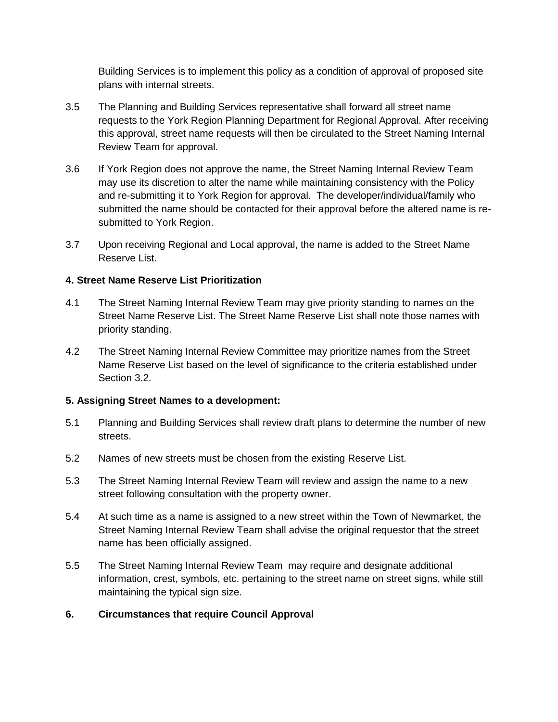Building Services is to implement this policy as a condition of approval of proposed site plans with internal streets.

- 3.5 The Planning and Building Services representative shall forward all street name requests to the York Region Planning Department for Regional Approval. After receiving this approval, street name requests will then be circulated to the Street Naming Internal Review Team for approval.
- 3.6 If York Region does not approve the name, the Street Naming Internal Review Team may use its discretion to alter the name while maintaining consistency with the Policy and re-submitting it to York Region for approval. The developer/individual/family who submitted the name should be contacted for their approval before the altered name is resubmitted to York Region.
- 3.7 Upon receiving Regional and Local approval, the name is added to the Street Name Reserve List.

## **4. Street Name Reserve List Prioritization**

- 4.1 The Street Naming Internal Review Team may give priority standing to names on the Street Name Reserve List. The Street Name Reserve List shall note those names with priority standing.
- 4.2 The Street Naming Internal Review Committee may prioritize names from the Street Name Reserve List based on the level of significance to the criteria established under Section 3.2.

## **5. Assigning Street Names to a development:**

- 5.1 Planning and Building Services shall review draft plans to determine the number of new streets.
- 5.2 Names of new streets must be chosen from the existing Reserve List.
- 5.3 The Street Naming Internal Review Team will review and assign the name to a new street following consultation with the property owner.
- 5.4 At such time as a name is assigned to a new street within the Town of Newmarket, the Street Naming Internal Review Team shall advise the original requestor that the street name has been officially assigned.
- 5.5 The Street Naming Internal Review Team may require and designate additional information, crest, symbols, etc. pertaining to the street name on street signs, while still maintaining the typical sign size.
- **6. Circumstances that require Council Approval**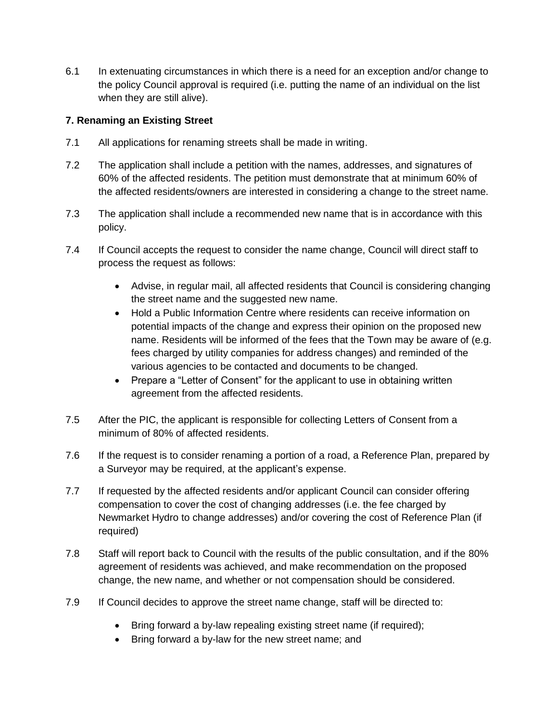6.1 In extenuating circumstances in which there is a need for an exception and/or change to the policy Council approval is required (i.e. putting the name of an individual on the list when they are still alive).

## **7. Renaming an Existing Street**

- 7.1 All applications for renaming streets shall be made in writing.
- 7.2 The application shall include a petition with the names, addresses, and signatures of 60% of the affected residents. The petition must demonstrate that at minimum 60% of the affected residents/owners are interested in considering a change to the street name.
- 7.3 The application shall include a recommended new name that is in accordance with this policy.
- 7.4 If Council accepts the request to consider the name change, Council will direct staff to process the request as follows:
	- Advise, in regular mail, all affected residents that Council is considering changing the street name and the suggested new name.
	- Hold a Public Information Centre where residents can receive information on potential impacts of the change and express their opinion on the proposed new name. Residents will be informed of the fees that the Town may be aware of (e.g. fees charged by utility companies for address changes) and reminded of the various agencies to be contacted and documents to be changed.
	- Prepare a "Letter of Consent" for the applicant to use in obtaining written agreement from the affected residents.
- 7.5 After the PIC, the applicant is responsible for collecting Letters of Consent from a minimum of 80% of affected residents.
- 7.6 If the request is to consider renaming a portion of a road, a Reference Plan, prepared by a Surveyor may be required, at the applicant's expense.
- 7.7 If requested by the affected residents and/or applicant Council can consider offering compensation to cover the cost of changing addresses (i.e. the fee charged by Newmarket Hydro to change addresses) and/or covering the cost of Reference Plan (if required)
- 7.8 Staff will report back to Council with the results of the public consultation, and if the 80% agreement of residents was achieved, and make recommendation on the proposed change, the new name, and whether or not compensation should be considered.
- 7.9 If Council decides to approve the street name change, staff will be directed to:
	- Bring forward a by-law repealing existing street name (if required);
	- Bring forward a by-law for the new street name; and